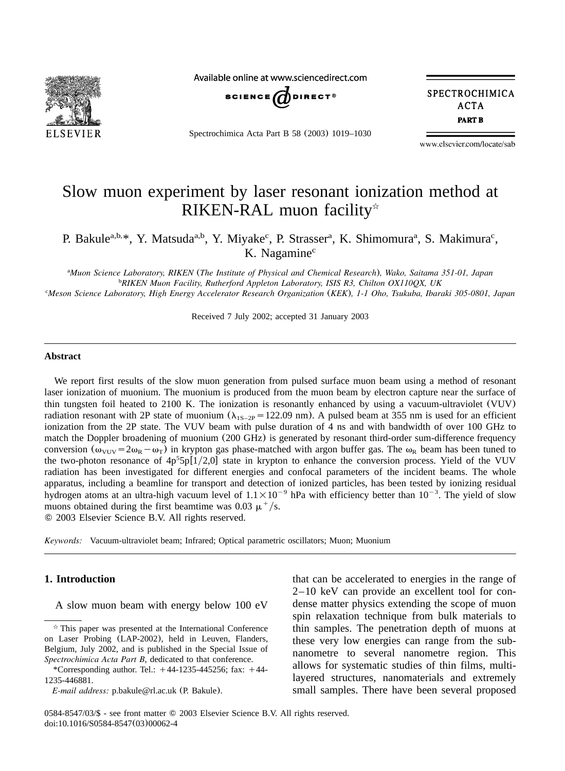

Available online at www.sciencedirect.com



Spectrochimica Acta Part B 58 (2003) 1019–1030

**SPECTROCHIMICA ACTA PART B** 

www.elsevier.com/locate/sab

# Slow muon experiment by laser resonant ionization method at RIKEN-RAL muon facility<sup>\*</sup>

P. Bakule<sup>a,b,\*</sup>, Y. Matsuda<sup>a,b</sup>, Y. Miyake<sup>c</sup>, P. Strasser<sup>a</sup>, K. Shimomura<sup>a</sup>, S. Makimura<sup>c</sup>, K. Nagamine<sup>c</sup>

*Muon Science Laboratory, RIKEN* (*The Institute of Physical and Chemical Research*)*, Wako, Saitama 351-01, Japan* <sup>a</sup> *RIKEN Muon Facility, Rutherford Appleton Laboratory, ISIS R3, Chilton OX110QX, UK* <sup>b</sup> *Meson Science Laboratory, High Energy Accelerator Research Organization* (*KEK*)*, 1-1 Oho, Tsukuba, Ibaraki 305-0801, Japan* <sup>c</sup>

Received 7 July 2002; accepted 31 January 2003

## **Abstract**

We report first results of the slow muon generation from pulsed surface muon beam using a method of resonant laser ionization of muonium. The muonium is produced from the muon beam by electron capture near the surface of thin tungsten foil heated to 2100 K. The ionization is resonantly enhanced by using a vacuum-ultraviolet (VUV) radiation resonant with 2P state of muonium ( $\lambda_{1S-2P}$  = 122.09 nm). A pulsed beam at 355 nm is used for an efficient ionization from the 2P state. The VUV beam with pulse duration of 4 ns and with bandwidth of over 100 GHz to match the Doppler broadening of muonium (200 GHz) is generated by resonant third-order sum-difference frequency conversion ( $\omega_{VUV} = 2\omega_R - \omega_T$ ) in krypton gas phase-matched with argon buffer gas. The  $\omega_R$  beam has been tuned to the two-photon resonance of  $4p^55p[1/2,0]$  state in krypton to enhance the conversion process. Yield of the VUV radiation has been investigated for different energies and confocal parameters of the incident beams. The whole apparatus, including a beamline for transport and detection of ionized particles, has been tested by ionizing residual hydrogen atoms at an ultra-high vacuum level of  $1.1\times10^{-9}$  hPa with efficiency better than  $10^{-3}$ . The yield of slow muons obtained during the first beamtime was 0.03  $\mu$ <sup>+</sup>/s.

2003 Elsevier Science B.V. All rights reserved.

*Keywords:* Vacuum-ultraviolet beam; Infrared; Optical parametric oscillators; Muon; Muonium

# **1. Introduction**

A slow muon beam with energy below 100 eV

that can be accelerated to energies in the range of 2–10 keV can provide an excellent tool for condense matter physics extending the scope of muon spin relaxation technique from bulk materials to thin samples. The penetration depth of muons at these very low energies can range from the subnanometre to several nanometre region. This allows for systematic studies of thin films, multilayered structures, nanomaterials and extremely small samples. There have been several proposed

<sup>\*</sup> This paper was presented at the International Conference on Laser Probing (LAP-2002), held in Leuven, Flanders, Belgium, July 2002, and is published in the Special Issue of *Spectrochimica Acta Part B*, dedicated to that conference.

<sup>\*</sup>Corresponding author. Tel.:  $+44-1235-445256$ ; fax:  $+44-$ 1235-446881.

*E-mail address:* p.bakule@rl.ac.uk (P. Bakule).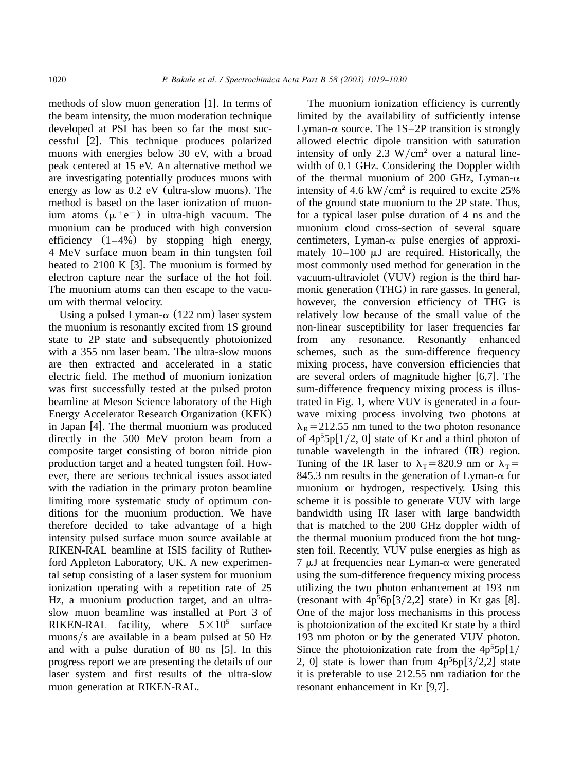methods of slow muon generation  $[1]$  $[1]$  $[1]$ . In terms of the beam intensity, the muon moderation technique developed at PSI has been so far the most suc- $\text{cessful}$  [[2](#page-10-0)]. This technique produces polarized muons with energies below 30 eV, with a broad peak centered at 15 eV. An alternative method we are investigating potentially produces muons with energy as low as 0.2 eV (ultra-slow muons). The method is based on the laser ionization of muonium atoms  $(\mu^+e^-)$  in ultra-high vacuum. The muonium can be produced with high conversion efficiency  $(1-4\%)$  by stopping high energy, 4 MeV surface muon beam in thin tungsten foil heated to  $2100 \text{ K}$  [[3](#page-10-0)]. The muonium is formed by electron capture near the surface of the hot foil. The muonium atoms can then escape to the vacu-

um with thermal velocity. Using a pulsed Lyman- $\alpha$  (122 nm) laser system the muonium is resonantly excited from 1S ground state to 2P state and subsequently photoionized with a 355 nm laser beam. The ultra-slow muons are then extracted and accelerated in a static electric field. The method of muonium ionization was first successfully tested at the pulsed proton beamline at Meson Science laboratory of the High Energy Accelerator Research Organization (KEK) in Japan [[4](#page-10-0)]. The thermal muonium was produced directly in the 500 MeV proton beam from a composite target consisting of boron nitride pion production target and a heated tungsten foil. However, there are serious technical issues associated with the radiation in the primary proton beamline limiting more systematic study of optimum conditions for the muonium production. We have therefore decided to take advantage of a high intensity pulsed surface muon source available at RIKEN-RAL beamline at ISIS facility of Rutherford Appleton Laboratory, UK. A new experimental setup consisting of a laser system for muonium ionization operating with a repetition rate of 25 Hz, a muonium production target, and an ultraslow muon beamline was installed at Port 3 of RIKEN-RAL facility, where  $5\times10^5$  surface  $muons/s$  are available in a beam pulsed at 50 Hz and with a pulse duration of 80 ns  $[5]$  $[5]$  $[5]$ . In this progress report we are presenting the details of our laser system and first results of the ultra-slow muon generation at RIKEN-RAL.

The muonium ionization efficiency is currently limited by the availability of sufficiently intense Lyman- $\alpha$  source. The 1S–2P transition is strongly allowed electric dipole transition with saturation intensity of only 2.3  $W/cm<sup>2</sup>$  over a natural linewidth of 0.1 GHz. Considering the Doppler width of the thermal muonium of 200 GHz, Lyman- $\alpha$ intensity of 4.6 kW/cm<sup>2</sup> is required to excite  $25\%$ of the ground state muonium to the 2P state. Thus, for a typical laser pulse duration of 4 ns and the muonium cloud cross-section of several square centimeters, Lyman- $\alpha$  pulse energies of approximately  $10-100 \mu J$  are required. Historically, the most commonly used method for generation in the vacuum-ultraviolet (VUV) region is the third harmonic generation (THG) in rare gasses. In general, however, the conversion efficiency of THG is relatively low because of the small value of the non-linear susceptibility for laser frequencies far from any resonance. Resonantly enhanced schemes, such as the sum-difference frequency mixing process, have conversion efficiencies that are several orders of magnitude higher  $[6,7]$  $[6,7]$  $[6,7]$ . The sum-difference frequency mixing process is illustrated in [Fig. 1,](#page-2-0) where VUV is generated in a fourwave mixing process involving two photons at  $\lambda_R$  = 212.55 nm tuned to the two photon resonance of  $4p^55p[1/2, 0]$  state of Kr and a third photon of tunable wavelength in the infrared (IR) region. Tuning of the IR laser to  $\lambda_T = 820.9$  nm or  $\lambda_T =$ 845.3 nm results in the generation of Lyman- $\alpha$  for muonium or hydrogen, respectively. Using this scheme it is possible to generate VUV with large bandwidth using IR laser with large bandwidth that is matched to the 200 GHz doppler width of the thermal muonium produced from the hot tungsten foil. Recently, VUV pulse energies as high as  $7 \mu J$  at frequencies near Lyman- $\alpha$  were generated using the sum-difference frequency mixing process utilizing the two photon enhancement at 193 nm (resonant with  $4p^56p[3/2,2]$  state) in Kr gas [[8](#page-10-0)]. One of the major loss mechanisms in this process is photoionization of the excited Kr state by a third 193 nm photon or by the generated VUV photon. Since the photoionization rate from the  $4p^55p[1/$ 2, 0] state is lower than from  $4p^56p[3/2,2]$  state it is preferable to use 212.55 nm radiation for the resonant enhancement in Kr  $[9,7]$  $[9,7]$  $[9,7]$ .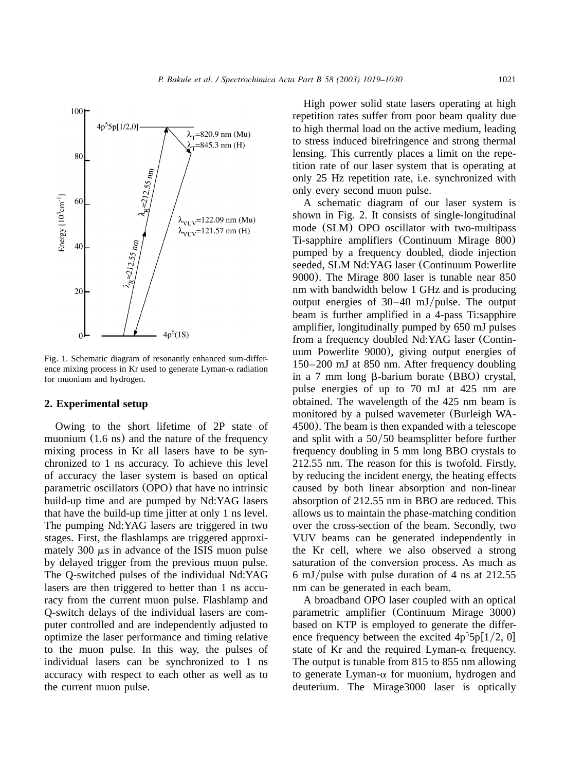<span id="page-2-0"></span>

Fig. 1. Schematic diagram of resonantly enhanced sum-difference mixing process in Kr used to generate Lyman- $\alpha$  radiation for muonium and hydrogen.

### **2. Experimental setup**

Owing to the short lifetime of 2P state of muonium (1.6 ns) and the nature of the frequency mixing process in Kr all lasers have to be synchronized to 1 ns accuracy. To achieve this level of accuracy the laser system is based on optical parametric oscillators (OPO) that have no intrinsic build-up time and are pumped by Nd:YAG lasers that have the build-up time jitter at only 1 ns level. The pumping Nd:YAG lasers are triggered in two stages. First, the flashlamps are triggered approximately 300  $\mu$ s in advance of the ISIS muon pulse by delayed trigger from the previous muon pulse. The Q-switched pulses of the individual Nd:YAG lasers are then triggered to better than 1 ns accuracy from the current muon pulse. Flashlamp and Q-switch delays of the individual lasers are computer controlled and are independently adjusted to optimize the laser performance and timing relative to the muon pulse. In this way, the pulses of individuallasers can be synchronized to 1 ns accuracy with respect to each other as well as to the current muon pulse.

High power solid state lasers operating at high repetition rates suffer from poor beam quality due to high thermal load on the active medium, leading to stress induced birefringence and strong thermal lensing. This currently places a limit on the repetition rate of our laser system that is operating at only 25 Hz repetition rate, i.e. synchronized with only every second muon pulse.

A schematic diagram of our laser system is shown in [Fig. 2.](#page-3-0) It consists of single-longitudinal mode (SLM) OPO oscillator with two-multipass Ti-sapphire amplifiers (Continuum Mirage 800) pumped by a frequency doubled, diode injection seeded, SLM Nd:YAG laser (Continuum Powerlite 9000). The Mirage 800 laser is tunable near 850 nm with bandwidth below 1 GHz and is producing output energies of  $30-40$  mJ/pulse. The output beam is further amplified in a 4-pass Ti:sapphire amplifier, longitudinally pumped by 650 mJ pulses from a frequency doubled Nd:YAG laser (Continuum Powerlite 9000), giving output energies of 150–200 mJ at 850 nm. After frequency doubling in a 7 mm long  $\beta$ -barium borate (BBO) crystal, pulse energies of up to 70 mJ at 425 nm are obtained. The wavelength of the 425 nm beam is monitored by a pulsed wavemeter (Burleigh WA-4500). The beam is then expanded with a telescope and split with a  $50/50$  beamsplitter before further frequency doubling in 5 mm long BBO crystals to 212.55 nm. The reason for this is twofold. Firstly, by reducing the incident energy, the heating effects caused by both linear absorption and non-linear absorption of 212.55 nm in BBO are reduced. This allows us to maintain the phase-matching condition over the cross-section of the beam. Secondly, two VUV beams can be generated independently in the Kr cell, where we also observed a strong saturation of the conversion process. As much as 6 mJ/pulse with pulse duration of 4 ns at  $212.55$ nm can be generated in each beam.

A broadband OPO laser coupled with an optical parametric amplifier (Continuum Mirage 3000) based on KTP is employed to generate the difference frequency between the excited  $4p^55p[1/2, 0]$ state of Kr and the required Lyman- $\alpha$  frequency. The output is tunable from 815 to 855 nm allowing to generate Lyman- $\alpha$  for muonium, hydrogen and deuterium. The Mirage3000 laser is optically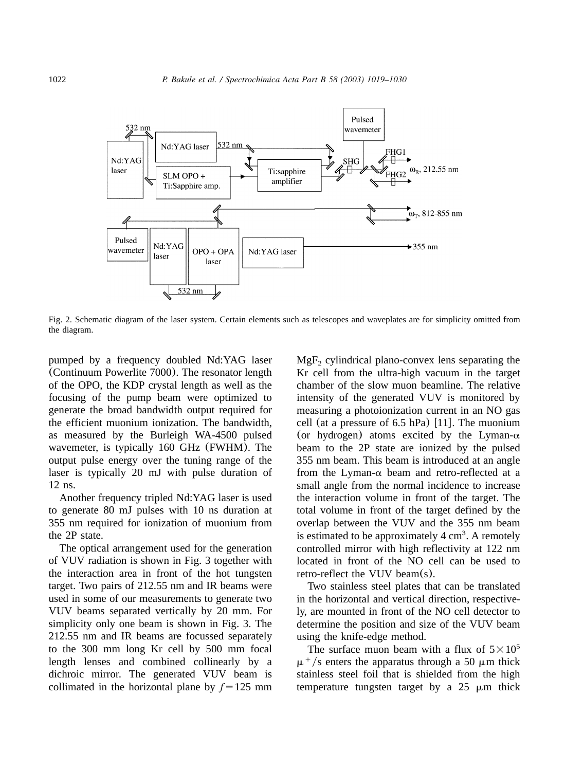<span id="page-3-0"></span>

Fig. 2. Schematic diagram of the laser system. Certain elements such as telescopes and waveplates are for simplicity omitted from the diagram.

pumped by a frequency doubled Nd:YAG laser (Continuum Powerlite 7000). The resonator length of the OPO, the KDP crystal length as well as the focusing of the pump beam were optimized to generate the broad bandwidth output required for the efficient muonium ionization. The bandwidth, as measured by the Burleigh WA-4500 pulsed wavemeter, is typically 160 GHz (FWHM). The output pulse energy over the tuning range of the laser is typically 20 mJ with pulse duration of 12 ns.

Another frequency tripled Nd:YAG laser is used to generate 80 mJ pulses with 10 ns duration at 355 nm required for ionization of muonium from the 2P state.

The optical arrangement used for the generation of VUV radiation is shown in [Fig. 3](#page-4-0) together with the interaction area in front of the hot tungsten target. Two pairs of 212.55 nm and IR beams were used in some of our measurements to generate two VUV beams separated vertically by 20 mm. For simplicity only one beam is shown in [Fig. 3.](#page-4-0) The 212.55 nm and IR beams are focussed separately to the 300 mm long Kr cell by 500 mm focal length lenses and combined collinearly by a dichroic mirror. The generated VUV beam is collimated in the horizontal plane by  $f = 125$  mm

 $MgF<sub>2</sub>$  cylindrical plano-convex lens separating the Kr cell from the ultra-high vacuum in the target chamber of the slow muon beamline. The relative intensity of the generated VUV is monitored by measuring a photoionization current in an NO gas cell (at a pressure of  $6.5$  hPa) [[11](#page-10-0)]. The muonium (or hydrogen) atoms excited by the Lyman- $\alpha$ beam to the 2P state are ionized by the pulsed 355 nm beam. This beam is introduced at an angle from the Lyman- $\alpha$  beam and retro-reflected at a small angle from the normal incidence to increase the interaction volume in front of the target. The total volume in front of the target defined by the overlap between the VUV and the 355 nm beam is estimated to be approximately  $4 \text{ cm}^3$ . A remotely controlled mirror with high reflectivity at 122 nm located in front of the NO cell can be used to retro-reflect the VUV beam(s).

Two stainless steel plates that can be translated in the horizontal and vertical direction, respectively, are mounted in front of the NO cell detector to determine the position and size of the VUV beam using the knife-edge method.

The surface muon beam with a flux of  $5\times10^5$  $\mu^+$ /s enters the apparatus through a 50  $\mu$ m thick stainless steel foil that is shielded from the high temperature tungsten target by a  $25 \mu m$  thick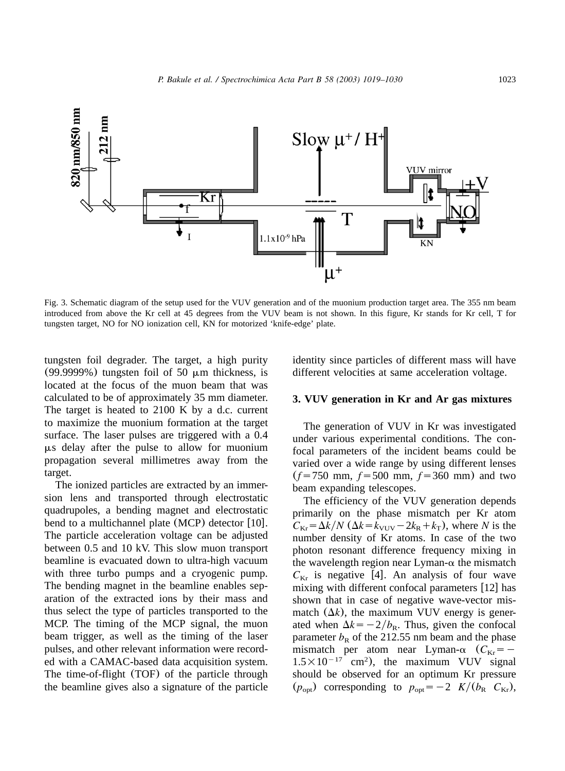<span id="page-4-0"></span>

Fig. 3. Schematic diagram of the setup used for the VUV generation and of the muonium production target area. The 355 nm beam introduced from above the Kr cell at 45 degrees from the VUV beam is not shown. In this figure, Kr stands for Kr cell, T for tungsten target, NO for NO ionization cell, KN for motorized 'knife-edge' plate.

tungsten foil degrader. The target, a high purity (99.9999%) tungsten foil of 50  $\mu$ m thickness, is located at the focus of the muon beam that was calculated to be of approximately 35 mm diameter. The target is heated to 2100 K by a d.c. current to maximize the muonium formation at the target surface. The laser pulses are triggered with a 0.4 ms delay after the pulse to allow for muonium propagation several millimetres away from the target.

The ionized particles are extracted by an immersion lens and transported through electrostatic quadrupoles, a bending magnet and electrostatic bend to a multichannel plate (MCP) detector  $[10]$  $[10]$  $[10]$ . The particle acceleration voltage can be adjusted between 0.5 and 10 kV. This slow muon transport beamline is evacuated down to ultra-high vacuum with three turbo pumps and a cryogenic pump. The bending magnet in the beamline enables separation of the extracted ions by their mass and thus select the type of particles transported to the MCP. The timing of the MCP signal, the muon beam trigger, as well as the timing of the laser pulses, and other relevant information were recorded with a CAMAC-based data acquisition system. The time-of-flight (TOF) of the particle through the beamline gives also a signature of the particle identity since particles of different mass will have different velocities at same acceleration voltage.

# **3. VUV generation in Kr and Ar gas mixtures**

The generation of VUV in Kr was investigated under various experimental conditions. The confocal parameters of the incident beams could be varied over a wide range by using different lenses  $(f=750 \text{ mm}, f=500 \text{ mm}, f=360 \text{ mm})$  and two beam expanding telescopes.

The efficiency of the VUV generation depends primarily on the phase mismatch per Kr atom  $C_{\text{Kr}} = \Delta k/N$  ( $\Delta k = k_{\text{VUV}} - 2k_{\text{R}} + k_{\text{T}}$ ), where *N* is the number density of Kr atoms. In case of the two photon resonant difference frequency mixing in the wavelength region near Lyman- $\alpha$  the mismatch  $C_{\text{Kr}}$  is negative [[4](#page-10-0)]. An analysis of four wave mixing with different confocal parameters  $[12]$  $[12]$  $[12]$  has shown that in case of negative wave-vector mismatch  $(\Delta k)$ , the maximum VUV energy is generated when  $\Delta k = -2/b_R$ . Thus, given the confocal parameter  $b_R$  of the 212.55 nm beam and the phase mismatch per atom near Lyman- $\alpha$  ( $C_{Kr}$ = –  $1.5\times10^{-17}$  cm<sup>2</sup>), the maximum VUV signal should be observed for an optimum Kr pressure  $(p_{opt})$  corresponding to  $p_{opt} = -2 K/(b_R C_{Kr})$ ,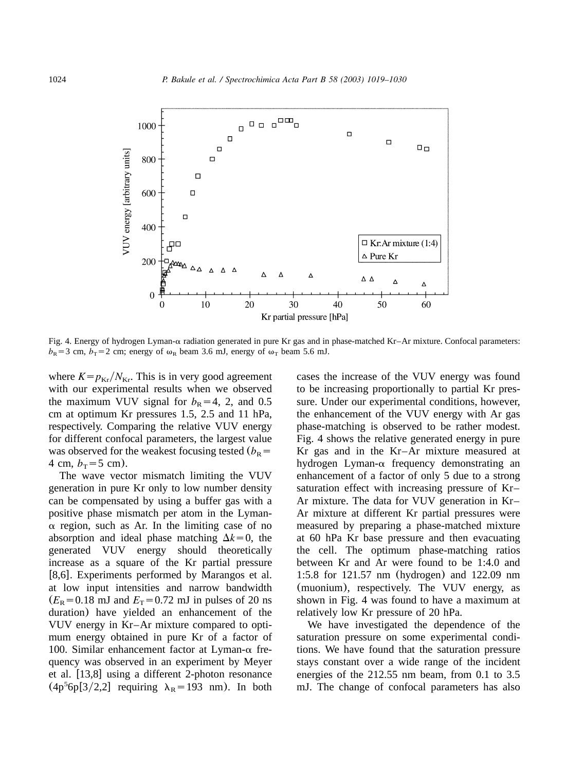

Fig. 4. Energy of hydrogen Lyman-a radiation generated in pure Kr gas and in phase-matched Kr–Ar mixture. Confocalparameters:  $b_R = 3$  cm,  $b_T = 2$  cm; energy of  $\omega_R$  beam 3.6 mJ, energy of  $\omega_T$  beam 5.6 mJ.

where  $K = p_{\text{Kr}} / N_{\text{Kr}}$ . This is in very good agreement with our experimental results when we observed the maximum VUV signal for  $b_R = 4$ , 2, and 0.5 cm at optimum Kr pressures 1.5, 2.5 and 11 hPa, respectively. Comparing the relative VUV energy for different confocal parameters, the largest value was observed for the weakest focusing tested  $(b_R =$ 4 cm,  $b_T = 5$  cm).

The wave vector mismatch limiting the VUV generation in pure Kr only to low number density can be compensated by using a buffer gas with a positive phase mismatch per atom in the Lyman- $\alpha$  region, such as Ar. In the limiting case of no absorption and ideal phase matching  $\Delta k=0$ , the generated VUV energy should theoretically increase as a square of the Kr partial pressure [[8,6](#page-10-0)]. Experiments performed by Marangos et al. at low input intensities and narrow bandwidth  $(E_R = 0.18 \text{ mJ}$  and  $E_T = 0.72 \text{ mJ}$  in pulses of 20 ns duration) have yielded an enhancement of the VUV energy in Kr–Ar mixture compared to optimum energy obtained in pure Kr of a factor of 100. Similar enhancement factor at Lyman- $\alpha$  frequency was observed in an experiment by Meyer et al.  $[13,8]$  $[13,8]$  $[13,8]$  using a different 2-photon resonance  $(4p<sup>5</sup>6p[3/2,2]$  requiring  $\lambda_R = 193$  nm). In both

cases the increase of the VUV energy was found to be increasing proportionally to partial Kr pressure. Under our experimental conditions, however, the enhancement of the VUV energy with Ar gas phase-matching is observed to be rather modest. Fig. 4 shows the relative generated energy in pure Kr gas and in the Kr–Ar mixture measured at hydrogen Lyman- $\alpha$  frequency demonstrating an enhancement of a factor of only 5 due to a strong saturation effect with increasing pressure of Kr– Ar mixture. The data for VUV generation in Kr– Ar mixture at different Kr partial pressures were measured by preparing a phase-matched mixture at 60 hPa Kr base pressure and then evacuating the cell. The optimum phase-matching ratios between Kr and Ar were found to be 1:4.0 and 1:5.8 for 121.57 nm (hydrogen) and 122.09 nm (muonium), respectively. The VUV energy, as shown in Fig. 4 was found to have a maximum at relatively low Kr pressure of 20 hPa.

We have investigated the dependence of the saturation pressure on some experimental conditions. We have found that the saturation pressure stays constant over a wide range of the incident energies of the 212.55 nm beam, from 0.1 to 3.5 mJ. The change of confocal parameters has also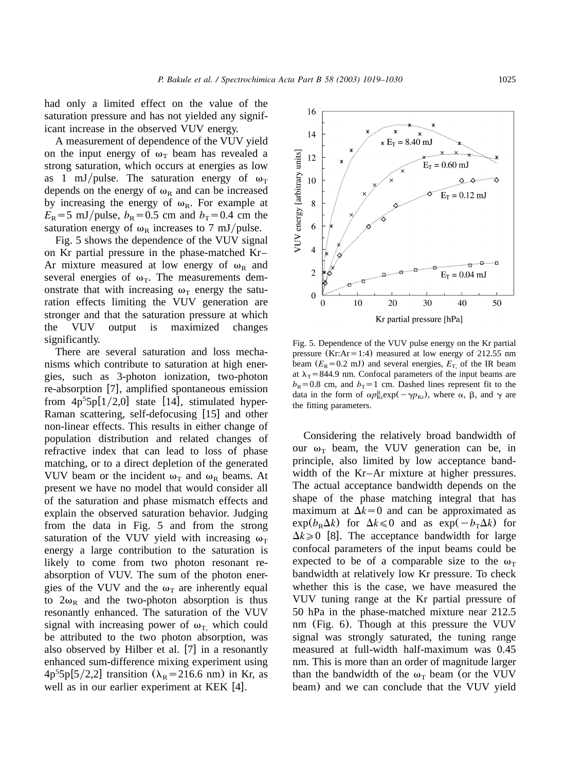had only a limited effect on the value of the saturation pressure and has not yielded any significant increase in the observed VUV energy.

A measurement of dependence of the VUV yield on the input energy of  $\omega_T$  beam has revealed a strong saturation, which occurs at energies as low as 1 mJ/pulse. The saturation energy of  $\omega_T$ depends on the energy of  $\omega_R$  and can be increased by increasing the energy of  $\omega_R$ . For example at  $E_R = 5$  mJ/pulse,  $b_R = 0.5$  cm and  $b_T = 0.4$  cm the saturation energy of  $\omega_R$  increases to 7 mJ/pulse.

Fig. 5 shows the dependence of the VUV signal on Kr partial pressure in the phase-matched Kr– Ar mixture measured at low energy of  $\omega_R$  and several energies of  $\omega_T$ . The measurements demonstrate that with increasing  $\omega_T$  energy the saturation effects limiting the VUV generation are stronger and that the saturation pressure at which the VUV output is maximized changes significantly.

There are several saturation and loss mechanisms which contribute to saturation at high energies, such as 3-photon ionization, two-photon re-absorption [[7](#page-10-0)], amplified spontaneous emission from  $4p^55p[1/2,0]$  state [[14](#page-11-0)], stimulated hyper-Raman scattering, self-defocusing [[15](#page-11-0)] and other non-linear effects. This results in either change of population distribution and related changes of refractive index that can lead to loss of phase matching, or to a direct depletion of the generated VUV beam or the incident  $\omega_T$  and  $\omega_R$  beams. At present we have no model that would consider all of the saturation and phase mismatch effects and explain the observed saturation behavior. Judging from the data in Fig. 5 and from the strong saturation of the VUV yield with increasing  $\omega_T$ energy a large contribution to the saturation is likely to come from two photon resonant reabsorption of VUV. The sum of the photon energies of the VUV and the  $\omega_T$  are inherently equal to  $2\omega_R$  and the two-photon absorption is thus resonantly enhanced. The saturation of the VUV signal with increasing power of  $\omega_T$ , which could be attributed to the two photon absorption, was also observed by Hilber et al.  $[7]$  $[7]$  $[7]$  in a resonantly enhanced sum-difference mixing experiment using  $4p^55p[5/2,2]$  transition ( $\lambda_R$  = 216.6 nm) in Kr, as well as in our earlier experiment at KEK  $[4]$  $[4]$  $[4]$ .



Fig. 5. Dependence of the VUV pulse energy on the Kr partial pressure (Kr:Ar=1:4) measured at low energy of 212.55 nm beam  $(E_R = 0.2 \text{ mJ})$  and several energies,  $E_T$  of the IR beam at  $\lambda_T$  = 844.9 nm. Confocal parameters of the input beams are  $b_R = 0.8$  cm, and  $b_T = 1$  cm. Dashed lines represent fit to the data in the form of  $\alpha p_{\text{Kr}}^{\beta} \exp(-\gamma p_{\text{Kr}})$ , where  $\alpha$ ,  $\beta$ , and  $\gamma$  are the fitting parameters.

Considering the relatively broad bandwidth of our  $\omega_T$  beam, the VUV generation can be, in principle, also limited by low acceptance bandwidth of the Kr–Ar mixture at higher pressures. The actual acceptance bandwidth depends on the shape of the phase matching integral that has maximum at  $\Delta k = 0$  and can be approximated as  $\exp(b_R \Delta k)$  for  $\Delta k \leq 0$  and as  $\exp(-b_T \Delta k)$  for  $\Delta k \geq 0$  [[8](#page-10-0)]. The acceptance bandwidth for large confocal parameters of the input beams could be expected to be of a comparable size to the  $\omega_T$ bandwidth at relatively low Kr pressure. To check whether this is the case, we have measured the VUV tuning range at the Kr partial pressure of 50 hPa in the phase-matched mixture near 212.5 nm ([Fig. 6](#page-7-0)). Though at this pressure the VUV signal was strongly saturated, the tuning range measured at full-width half-maximum was 0.45 nm. This is more than an order of magnitude larger than the bandwidth of the  $\omega_T$  beam (or the VUV beam) and we can conclude that the VUV yield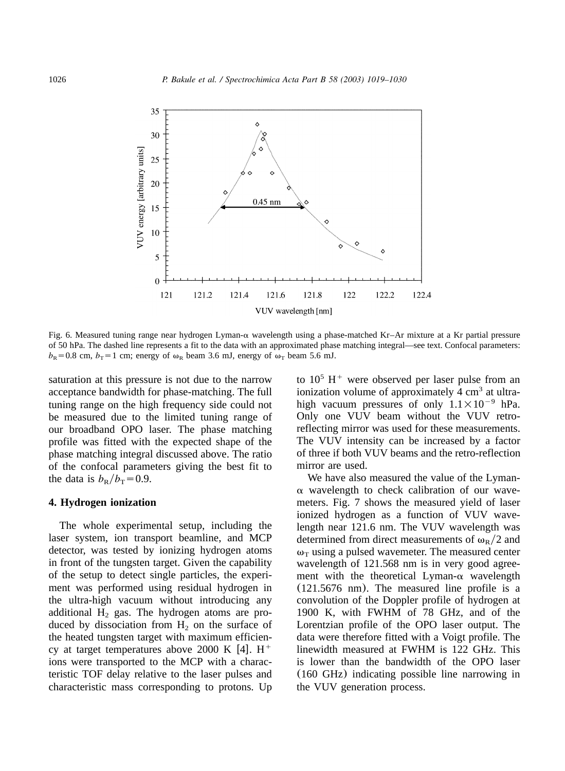<span id="page-7-0"></span>

Fig. 6. Measured tuning range near hydrogen Lyman-a wavelength using a phase-matched Kr–Ar mixture at a Kr partial pressure of 50 hPa. The dashed line represents a fit to the data with an approximated phase matching integral—see text. Confocal parameters:  $b_R = 0.8$  cm,  $b_T = 1$  cm; energy of  $\omega_R$  beam 3.6 mJ, energy of  $\omega_T$  beam 5.6 mJ.

saturation at this pressure is not due to the narrow acceptance bandwidth for phase-matching. The full tuning range on the high frequency side could not be measured due to the limited tuning range of our broadband OPO laser. The phase matching profile was fitted with the expected shape of the phase matching integral discussed above. The ratio of the confocal parameters giving the best fit to the data is  $b_R/b_T = 0.9$ .

## **4. Hydrogen ionization**

The whole experimental setup, including the laser system, ion transport beamline, and MCP detector, was tested by ionizing hydrogen atoms in front of the tungsten target. Given the capability of the setup to detect single particles, the experiment was performed using residual hydrogen in the ultra-high vacuum without introducing any additional  $H_2$  gas. The hydrogen atoms are produced by dissociation from  $H<sub>2</sub>$  on the surface of the heated tungsten target with maximum efficien-cy at target temperatures above 2000 K [[4](#page-10-0)].  $H^+$ ions were transported to the MCP with a characteristic TOF delay relative to the laser pulses and characteristic mass corresponding to protons. Up

to  $10<sup>5</sup>$  H<sup>+</sup> were observed per laser pulse from an ionization volume of approximately  $4 \text{ cm}^3$  at ultrahigh vacuum pressures of only  $1.1\times10^{-9}$  hPa. Only one VUV beam without the VUV retroreflecting mirror was used for these measurements. The VUV intensity can be increased by a factor of three if both VUV beams and the retro-reflection mirror are used.

We have also measured the value of the Lymana wavelength to check calibration of our wavemeters. [Fig. 7](#page-8-0) shows the measured yield of laser ionized hydrogen as a function of VUV wavelength near 121.6 nm. The VUV wavelength was determined from direct measurements of  $\omega_{\rm R}/2$  and  $\omega$ <sub>T</sub> using a pulsed wavemeter. The measured center wavelength of 121.568 nm is in very good agreement with the theoretical Lyman- $\alpha$  wavelength (121.5676 nm). The measured line profile is a convolution of the Doppler profile of hydrogen at 1900 K, with FWHM of 78 GHz, and of the Lorentzian profile of the OPO laser output. The data were therefore fitted with a Voigt profile. The linewidth measured at FWHM is 122 GHz. This is lower than the bandwidth of the OPO laser (160 GHz) indicating possible line narrowing in the VUV generation process.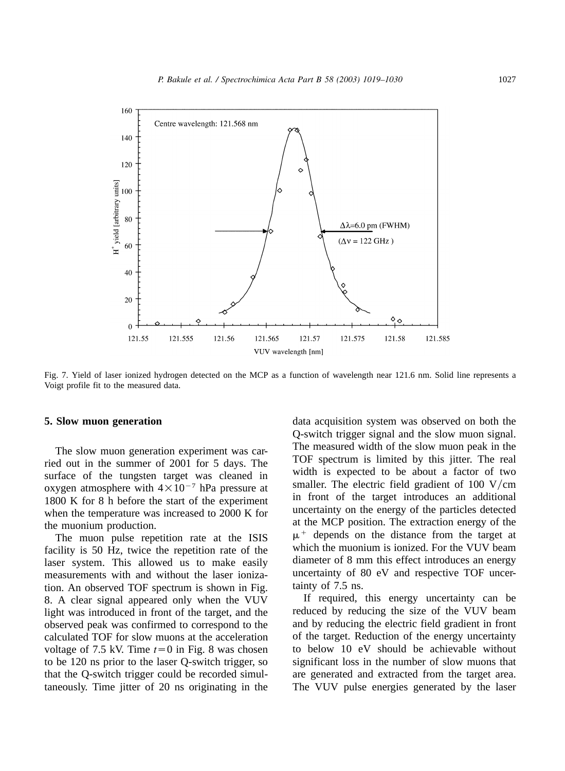<span id="page-8-0"></span>

Fig. 7. Yield of laser ionized hydrogen detected on the MCP as a function of wavelength near 121.6 nm. Solid line represents a Voigt profile fit to the measured data.

#### **5. Slow muon generation**

The slow muon generation experiment was carried out in the summer of 2001 for 5 days. The surface of the tungsten target was cleaned in oxygen atmosphere with  $4\times10^{-7}$  hPa pressure at 1800 K for 8 h before the start of the experiment when the temperature was increased to 2000 K for the muonium production.

The muon pulse repetition rate at the ISIS facility is 50 Hz, twice the repetition rate of the laser system. This allowed us to make easily measurements with and without the laser ionization. An observed TOF spectrum is shown in [Fig.](#page-9-0) [8.](#page-9-0) A clear signal appeared only when the VUV light was introduced in front of the target, and the observed peak was confirmed to correspond to the calculated TOF for slow muons at the acceleration voltage of 7.5 kV. Time  $t=0$  in [Fig. 8](#page-9-0) was chosen to be 120 ns prior to the laser Q-switch trigger, so that the Q-switch trigger could be recorded simultaneously. Time jitter of 20 ns originating in the data acquisition system was observed on both the Q-switch trigger signal and the slow muon signal. The measured width of the slow muon peak in the TOF spectrum is limited by this jitter. The real width is expected to be about a factor of two smaller. The electric field gradient of  $100 \text{ V/cm}$ in front of the target introduces an additional uncertainty on the energy of the particles detected at the MCP position. The extraction energy of the  $\mu^+$  depends on the distance from the target at which the muonium is ionized. For the VUV beam diameter of 8 mm this effect introduces an energy uncertainty of 80 eV and respective TOF uncertainty of 7.5 ns.

If required, this energy uncertainty can be reduced by reducing the size of the VUV beam and by reducing the electric field gradient in front of the target. Reduction of the energy uncertainty to below 10 eV should be achievable without significant loss in the number of slow muons that are generated and extracted from the target area. The VUV pulse energies generated by the laser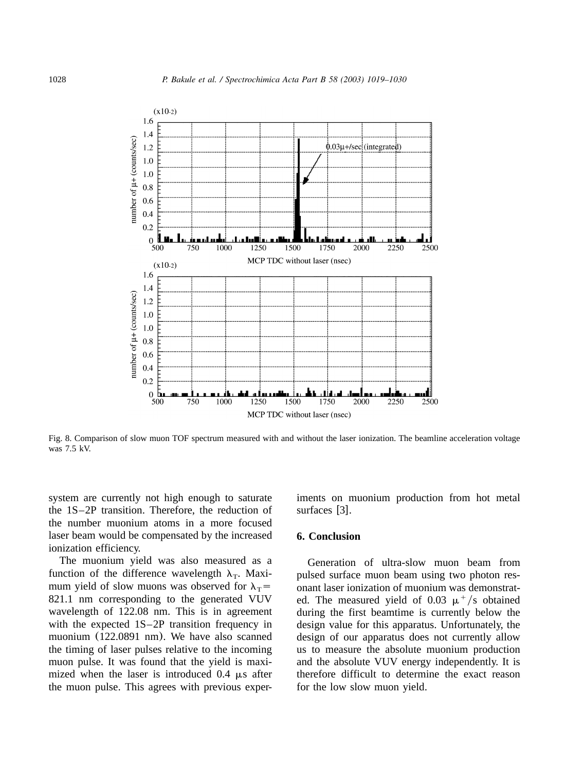<span id="page-9-0"></span>

Fig. 8. Comparison of slow muon TOF spectrum measured with and without the laser ionization. The beamline acceleration voltage was 7.5 kV.

system are currently not high enough to saturate the 1S–2P transition. Therefore, the reduction of the number muonium atoms in a more focused laser beam would be compensated by the increased ionization efficiency.

The muonium yield was also measured as a function of the difference wavelength  $\lambda_T$ . Maximum yield of slow muons was observed for  $\lambda$ <sub>T</sub> $=$ 821.1 nm corresponding to the generated VUV wavelength of 122.08 nm. This is in agreement with the expected 1S–2P transition frequency in muonium (122.0891 nm). We have also scanned the timing of laser pulses relative to the incoming muon pulse. It was found that the yield is maximized when the laser is introduced  $0.4 \mu s$  after the muon pulse. This agrees with previous experiments on muonium production from hot metal surfaces [[3](#page-10-0)].

# **6. Conclusion**

Generation of ultra-slow muon beam from pulsed surface muon beam using two photon resonant laser ionization of muonium was demonstrated. The measured yield of 0.03  $\mu$ <sup>+</sup>/s obtained during the first beamtime is currently below the design value for this apparatus. Unfortunately, the design of our apparatus does not currently allow us to measure the absolute muonium production and the absolute VUV energy independently. It is therefore difficult to determine the exact reason for the low slow muon yield.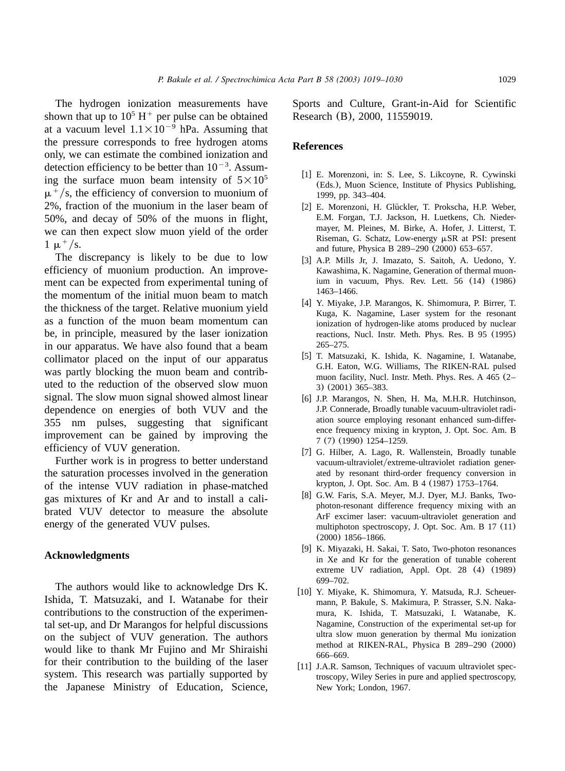<span id="page-10-0"></span>The hydrogen ionization measurements have shown that up to  $10<sup>5</sup>$  H<sup>+</sup> per pulse can be obtained at a vacuum level  $1.1 \times 10^{-9}$  hPa. Assuming that the pressure corresponds to free hydrogen atoms only, we can estimate the combined ionization and detection efficiency to be better than  $10^{-3}$ . Assuming the surface muon beam intensity of  $5\times10^5$  $\mu^+$ /s, the efficiency of conversion to muonium of 2%, fraction of the muonium in the laser beam of 50%, and decay of 50% of the muons in flight, we can then expect slow muon yield of the order  $1 \mu^{+}/s$ .

The discrepancy is likely to be due to low efficiency of muonium production. An improvement can be expected from experimental tuning of the momentum of the initial muon beam to match the thickness of the target. Relative muonium yield as a function of the muon beam momentum can be, in principle, measured by the laser ionization in our apparatus. We have also found that a beam collimator placed on the input of our apparatus was partly blocking the muon beam and contributed to the reduction of the observed slow muon signal. The slow muon signal showed almost linear dependence on energies of both VUV and the 355 nm pulses, suggesting that significant improvement can be gained by improving the efficiency of VUV generation.

Further work is in progress to better understand the saturation processes involved in the generation of the intense VUV radiation in phase-matched gas mixtures of Kr and Ar and to install a calibrated VUV detector to measure the absolute energy of the generated VUV pulses.

### **Acknowledgments**

The authors would like to acknowledge Drs K. Ishida, T. Matsuzaki, and I. Watanabe for their contributions to the construction of the experimental set-up, and Dr Marangos for helpful discussions on the subject of VUV generation. The authors would like to thank Mr Fujino and Mr Shiraishi for their contribution to the building of the laser system. This research was partially supported by the Japanese Ministry of Education, Science,

Sports and Culture, Grant-in-Aid for Scientific Research (B), 2000, 11559019.

### **References**

- [1] E. Morenzoni, in: S. Lee, S. Likcoyne, R. Cywinski (Eds.), Muon Science, Institute of Physics Publishing, 1999, pp. 343–404.
- [2] E. Morenzoni, H. Glückler, T. Prokscha, H.P. Weber, E.M. Forgan, T.J. Jackson, H. Luetkens, Ch. Niedermayer, M. Pleines, M. Birke, A. Hofer, J. Litterst, T. Riseman, G. Schatz, Low-energy  $\mu$ SR at PSI: present and future, Physica B 289–290 (2000) 653–657.
- [3] A.P. Mills Jr, J. Imazato, S. Saitoh, A. Uedono, Y. Kawashima, K. Nagamine, Generation of thermal muonium in vacuum, Phys. Rev. Lett. 56 (14) (1986) 1463–1466.
- [4] Y. Miyake, J.P. Marangos, K. Shimomura, P. Birrer, T. Kuga, K. Nagamine, Laser system for the resonant ionization of hydrogen-like atoms produced by nuclear reactions, Nucl. Instr. Meth. Phys. Res. B 95 (1995) 265–275.
- [5] T. Matsuzaki, K. Ishida, K. Nagamine, I. Watanabe, G.H. Eaton, W.G. Williams, The RIKEN-RAL pulsed muon facility, Nucl. Instr. Meth. Phys. Res. A 465 (2– 3) (2001) 365–383.
- [6] J.P. Marangos, N. Shen, H. Ma, M.H.R. Hutchinson, J.P. Connerade, Broadly tunable vacuum-ultraviolet radiation source employing resonant enhanced sum-difference frequency mixing in krypton, J. Opt. Soc. Am. B 7 (7) (1990) 1254–1259.
- [7] G. Hilber, A. Lago, R. Wallenstein, Broadly tunable vacuum-ultraviolet/extreme-ultraviolet radiation generated by resonant third-order frequency conversion in krypton, J. Opt. Soc. Am. B 4 (1987) 1753–1764.
- [8] G.W. Faris, S.A. Meyer, M.J. Dyer, M.J. Banks, Twophoton-resonant difference frequency mixing with an ArF excimer laser: vacuum-ultraviolet generation and multiphoton spectroscopy, J. Opt. Soc. Am. B 17 (11) (2000) 1856–1866.
- [9] K. Miyazaki, H. Sakai, T. Sato, Two-photon resonances in Xe and Kr for the generation of tunable coherent extreme UV radiation, Appl. Opt. 28 (4) (1989) 699–702.
- [10] Y. Miyake, K. Shimomura, Y. Matsuda, R.J. Scheuermann, P. Bakule, S. Makimura, P. Strasser, S.N. Nakamura, K. Ishida, T. Matsuzaki, I. Watanabe, K. Nagamine, Construction of the experimental set-up for ultra slow muon generation by thermal Mu ionization method at RIKEN-RAL, Physica B 289–290 (2000) 666–669.
- [11] J.A.R. Samson, Techniques of vacuum ultraviolet spectroscopy, Wiley Series in pure and applied spectroscopy, New York; London, 1967.